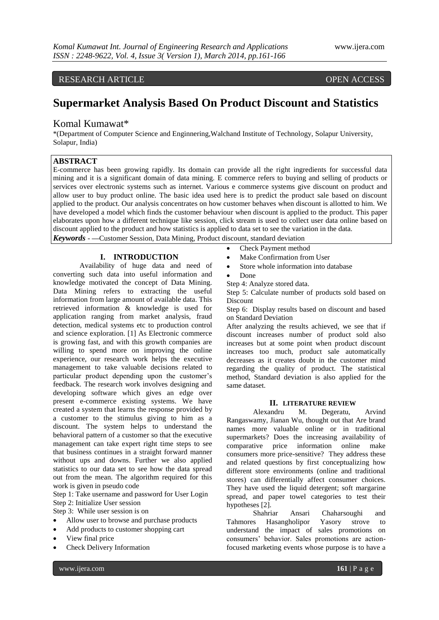# RESEARCH ARTICLE OPEN ACCESS

# **Supermarket Analysis Based On Product Discount and Statistics**

# Komal Kumawat\*

\*(Department of Computer Science and Enginnering,Walchand Institute of Technology, Solapur University, Solapur, India)

# **ABSTRACT**

E-commerce has been growing rapidly. Its domain can provide all the right ingredients for successful data mining and it is a significant domain of data mining. E commerce refers to buying and selling of products or services over electronic systems such as internet. Various e commerce systems give discount on product and allow user to buy product online. The basic idea used here is to predict the product sale based on discount applied to the product. Our analysis concentrates on how customer behaves when discount is allotted to him. We have developed a model which finds the customer behaviour when discount is applied to the product. This paper elaborates upon how a different technique like session, click stream is used to collect user data online based on discount applied to the product and how statistics is applied to data set to see the variation in the data.

*Keywords* - **—**Customer Session, Data Mining, Product discount, standard deviation

# **I. INTRODUCTION**

Availability of huge data and need of converting such data into useful information and knowledge motivated the concept of Data Mining. Data Mining refers to extracting the useful information from large amount of available data. This retrieved information & knowledge is used for application ranging from market analysis, fraud detection, medical systems etc to production control and science exploration. [1] As Electronic commerce is growing fast, and with this growth companies are willing to spend more on improving the online experience, our research work helps the executive management to take valuable decisions related to particular product depending upon the customer"s feedback. The research work involves designing and developing software which gives an edge over present e-commerce existing systems. We have created a system that learns the response provided by a customer to the stimulus giving to him as a discount. The system helps to understand the behavioral pattern of a customer so that the executive management can take expert right time steps to see that business continues in a straight forward manner without ups and downs. Further we also applied statistics to our data set to see how the data spread out from the mean. The algorithm required for this work is given in pseudo code

Step 1: Take username and password for User Login Step 2: Initialize User session

Step 3: While user session is on

- Allow user to browse and purchase products
- Add products to customer shopping cart
- View final price
- Check Delivery Information
- Check Payment method
- Make Confirmation from User
- Store whole information into database
- Done

Step 4: Analyze stored data.

Step 5: Calculate number of products sold based on **Discount** 

Step 6: Display results based on discount and based on Standard Deviation

After analyzing the results achieved, we see that if discount increases number of product sold also increases but at some point when product discount increases too much, product sale automatically decreases as it creates doubt in the customer mind regarding the quality of product. The statistical method, Standard deviation is also applied for the same dataset.

### **II. LITERATURE REVIEW**

Alexandru M. Degeratu, Arvind Rangaswamy, Jianan Wu, thought out that Are brand names more valuable online or in traditional supermarkets? Does the increasing availability of comparative price information online make consumers more price-sensitive? They address these and related questions by first conceptualizing how different store environments (online and traditional stores) can differentially affect consumer choices. They have used the liquid detergent; soft margarine spread, and paper towel categories to test their hypotheses [2].

Shahriar Ansari Chaharsoughi and Tahmores Hasangholipor Yasory strove to understand the impact of sales promotions on consumers" behavior. Sales promotions are actionfocused marketing events whose purpose is to have a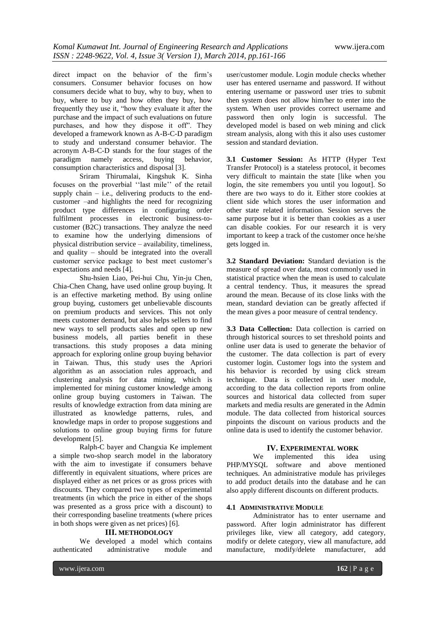direct impact on the behavior of the firm"s consumers. Consumer behavior focuses on how consumers decide what to buy, why to buy, when to buy, where to buy and how often they buy, how frequently they use it, "how they evaluate it after the purchase and the impact of such evaluations on future purchases, and how they dispose it off". They developed a framework known as A-B-C-D paradigm to study and understand consumer behavior. The acronym A-B-C-D stands for the four stages of the paradigm namely access, buying behavior, consumption characteristics and disposal [3].

Sriram Thirumalai, Kingshuk K. Sinha focuses on the proverbial "last mile" of the retail supply chain  $-$  i.e., delivering products to the endcustomer –and highlights the need for recognizing product type differences in configuring order fulfilment processes in electronic business-tocustomer (B2C) transactions. They analyze the need to examine how the underlying dimensions of physical distribution service – availability, timeliness, and quality – should be integrated into the overall customer service package to best meet customer"s expectations and needs [4].

Shu-hsien Liao, Pei-hui Chu, Yin-ju Chen, Chia-Chen Chang, have used online group buying. It is an effective marketing method. By using online group buying, customers get unbelievable discounts on premium products and services. This not only meets customer demand, but also helps sellers to find new ways to sell products sales and open up new business models, all parties benefit in these transactions. this study proposes a data mining approach for exploring online group buying behavior in Taiwan. Thus, this study uses the Apriori algorithm as an association rules approach, and clustering analysis for data mining, which is implemented for mining customer knowledge among online group buying customers in Taiwan. The results of knowledge extraction from data mining are illustrated as knowledge patterns, rules, and knowledge maps in order to propose suggestions and solutions to online group buying firms for future development [5].

Ralph-C bayer and Changxia Ke implement a simple two-shop search model in the laboratory with the aim to investigate if consumers behave differently in equivalent situations, where prices are displayed either as net prices or as gross prices with discounts. They compared two types of experimental treatments (in which the price in either of the shops was presented as a gross price with a discount) to their corresponding baseline treatments (where prices in both shops were given as net prices) [6].

#### **III. METHODOLOGY**

We developed a model which contains authenticated administrative module and

user/customer module. Login module checks whether user has entered username and password. If without entering username or password user tries to submit then system does not allow him/her to enter into the system. When user provides correct username and password then only login is successful. The developed model is based on web mining and click stream analysis, along with this it also uses customer session and standard deviation.

**3.1 Customer Session:** As HTTP (Hyper Text Transfer Protocol) is a stateless protocol, it becomes very difficult to maintain the state [like when you login, the site remembers you until you logout]. So there are two ways to do it. Either store cookies at client side which stores the user information and other state related information. Session serves the same purpose but it is better than cookies as a user can disable cookies. For our research it is very important to keep a track of the customer once he/she gets logged in.

**3.2 Standard Deviation:** Standard deviation is the measure of spread over data, most commonly used in statistical practice when the mean is used to calculate a central tendency. Thus, it measures the spread around the mean. Because of its close links with the mean, standard deviation can be greatly affected if the mean gives a poor measure of central tendency.

**3.3 Data Collection:** Data collection is carried on through historical sources to set threshold points and online user data is used to generate the behavior of the customer. The data collection is part of every customer login. Customer logs into the system and his behavior is recorded by using click stream technique. Data is collected in user module, according to the data collection reports from online sources and historical data collected from super markets and media results are generated in the Admin module. The data collected from historical sources pinpoints the discount on various products and the online data is used to identify the customer behavior.

#### **IV. EXPERIMENTAL WORK**

We implemented this idea using PHP/MYSQL software and above mentioned techniques. An administrative module has privileges to add product details into the database and he can also apply different discounts on different products.

## **4.1 ADMINISTRATIVE MODULE**

Administrator has to enter username and password. After login administrator has different privileges like, view all category, add category, modify or delete category, view all manufacture, add manufacture, modify/delete manufacturer, add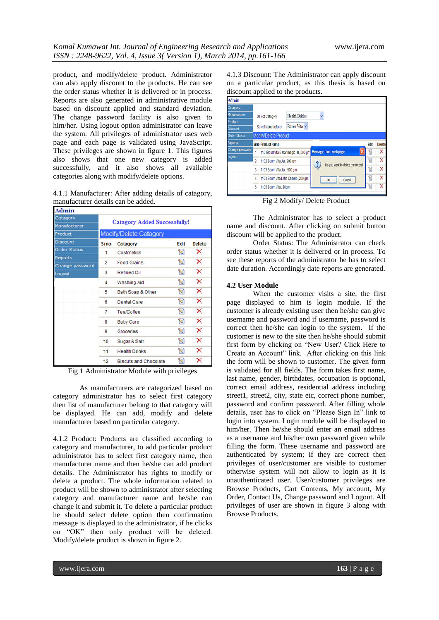product, and modify/delete product. Administrator can also apply discount to the products. He can see the order status whether it is delivered or in process. Reports are also generated in administrative module based on discount applied and standard deviation. The change password facility is also given to him/her. Using logout option administrator can leave the system. All privileges of administrator uses web page and each page is validated using JavaScript. These privileges are shown in figure 1. This figures also shows that one new category is added successfully, and it also shows all available categories along with modify/delete options.

4.1.1 Manufacturer: After adding details of catagory, manufacturer details can be added.

| Admin               |                                     |                              |      |               |  |  |
|---------------------|-------------------------------------|------------------------------|------|---------------|--|--|
| Catagory            | <b>Catagory Added Successfully!</b> |                              |      |               |  |  |
| Manufacturer        |                                     |                              |      |               |  |  |
| Product             | <b>Modify/Delete Catagory</b>       |                              |      |               |  |  |
| <b>Discount</b>     | Srno                                | Catagory                     | Edit | <b>Delete</b> |  |  |
| <b>Order Status</b> | 1                                   | Costmetics                   | Ы    | ×             |  |  |
| <b>Reports</b>      | 2                                   | <b>Food Grains</b>           | Я    | ×             |  |  |
| Change password     |                                     |                              |      |               |  |  |
| Logout              | 3                                   | Refined Oil                  | a    | ×             |  |  |
|                     | 4                                   | Washing Aid                  | G    | ×             |  |  |
|                     | 5                                   | Bath Soap & Other            | e    | ×             |  |  |
|                     | 6                                   | <b>Dental Care</b>           | e    | ×             |  |  |
|                     | 7                                   | Tea/Coffee                   | e    | ×             |  |  |
|                     | 8                                   | <b>Baby Care</b>             | e    | ×             |  |  |
|                     | 9                                   | Groceries                    | G    | ×             |  |  |
|                     | 10                                  | Sugar & Salt                 | a    | ×             |  |  |
|                     | 11                                  | <b>Health Drinks</b>         | a    | ×             |  |  |
|                     | 12                                  | <b>Biscuts and Chocolate</b> | ۱d   | ×             |  |  |

Fig 1 Administrator Module with privileges

As manufacturers are categorized based on category administrator has to select first category then list of manufacturer belong to that category will be displayed. He can add, modify and delete manufacturer based on particular category.

4.1.2 Product: Products are classified according to category and manufacturer, to add particular product administrator has to select first category name, then manufacturer name and then he/she can add product details. The Administrator has rights to modify or delete a product. The whole information related to product will be shown to administrator after selecting category and manufacturer name and he/she can change it and submit it. To delete a particular product he should select delete option then confirmation message is displayed to the administrator, if he clicks on "OK" then only product will be deleted. Modify/delete product is shown in figure 2.

4.1.3 Discount: The Administrator can apply discount on a particular product, as this thesis is based on discount applied to the products.

| Admin               |                |                                                                                                    |                      |              |                      |      |               |
|---------------------|----------------|----------------------------------------------------------------------------------------------------|----------------------|--------------|----------------------|------|---------------|
| Catagory            |                |                                                                                                    |                      |              |                      |      |               |
| <b>Manufacturer</b> |                | <b>Select Catagory</b>                                                                             | <b>Health Drinks</b> | $\checkmark$ |                      |      |               |
| Product             |                |                                                                                                    |                      |              |                      |      |               |
| Discount            |                | Select Manufacturer                                                                                | Bourn Vita v         |              |                      |      |               |
| <b>Order Status</b> |                | <b>Modify/Delete Product</b>                                                                       |                      |              |                      |      |               |
| Reports             |                | <b>Srno Product Name</b>                                                                           |                      |              |                      | Edit | <b>Delete</b> |
| Change password     | 1              | 1101Bournvita 5 star magic jar, 500 gm                                                             |                      |              | Message from webpage | N    | x             |
| ogout               | $\overline{2}$ | 1102 Bourn Vita Jar, 200 gm<br>1103 Bourn Vita Jar, 500 gm<br>1104 Bourn Vita Little Champ ,200 gm |                      | ?            | 9                    | x    |               |
|                     | 3<br>-         |                                                                                                    |                      |              | Я                    | x    |               |
|                     | 4              |                                                                                                    |                      | Cancel<br>0K |                      |      | x             |
|                     | 5              | 1105 Bourn Vita, 80gm                                                                              |                      |              |                      | 9    | ×             |

Fig 2 Modify/ Delete Product

The Administrator has to select a product name and discount. After clicking on submit button discount will be applied to the product.

Order Status: The Administrator can check order status whether it is delivered or in process. To see these reports of the administrator he has to select date duration. Accordingly date reports are generated.

#### **4.2 User Module**

When the customer visits a site, the first page displayed to him is login module. If the customer is already existing user then he/she can give username and password and if username, password is correct then he/she can login to the system. If the customer is new to the site then he/she should submit first form by clicking on "New User? Click Here to Create an Account" link. After clicking on this link the form will be shown to customer. The given form is validated for all fields. The form takes first name, last name, gender, birthdates, occupation is optional, correct email address, residential address including street1, street2, city, state etc, correct phone number, password and confirm password. After filling whole details, user has to click on "Please Sign In" link to login into system. Login module will be displayed to him/her. Then he/she should enter an email address as a username and his/her own password given while filling the form. These username and password are authenticated by system; if they are correct then privileges of user/customer are visible to customer otherwise system will not allow to login as it is unauthenticated user. User/customer privileges are Browse Products, Cart Contents, My account, My Order, Contact Us, Change password and Logout. All privileges of user are shown in figure 3 along with Browse Products.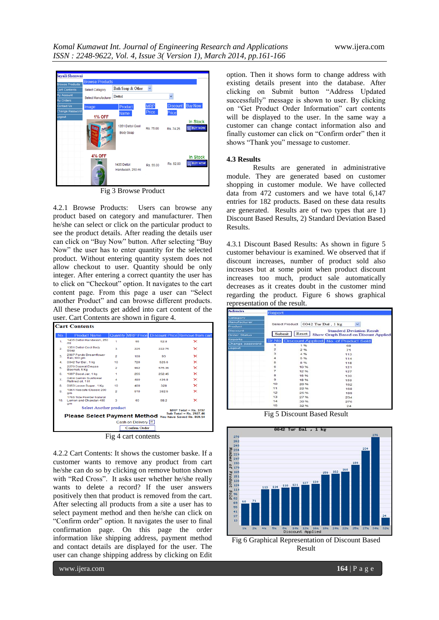

Fig 3 Browse Product

4.2.1 Browse Products: Users can browse any product based on category and manufacturer. Then he/she can select or click on the particular product to see the product details. After reading the details user can click on "Buy Now" button. After selecting "Buy Now" the user has to enter quantity for the selected product. Without entering quantity system does not allow checkout to user. Quantity should be only integer. After entering a correct quantity the user has to click on "Checkout" option. It navigates to the cart content page. From this page a user can "Select another Product" and can browse different products. All these products get added into cart content of the user. Cart Contents are shown in figure 4*.*

| <b>Cart Contents</b>                                                                     |                                                                |                |     |        |                                                    |  |  |
|------------------------------------------------------------------------------------------|----------------------------------------------------------------|----------------|-----|--------|----------------------------------------------------|--|--|
| No.                                                                                      | <b>Product Name</b>                                            |                |     |        | Quantity MRP Price Discount Price Remove from cart |  |  |
| 1.                                                                                       | 1435 Dettol Handwash, 250<br>ml                                | ۹              | 55  | 52.8   | ×                                                  |  |  |
| $\overline{2}$                                                                           | 1351 Dettol Cool Body<br>Soap                                  | 3              | 225 | 222.75 | ×                                                  |  |  |
| 3.                                                                                       | 2907 Ponds Dreamflower<br>Talc.100 gm                          | $\overline{a}$ | 100 | 93     | ×                                                  |  |  |
| 4.                                                                                       | 0042 Tur Dal , 1 kg                                            | 10             | 720 | 525.6  | $\times$                                           |  |  |
| Б.                                                                                       | 2270 Daawat Dewaa<br>Basmati, 5 Kg                             | $\overline{2}$ | 992 | 575.36 | $\times$                                           |  |  |
| 6.                                                                                       | 1097 Boost Jar. 1 kg                                           | 1              | 255 | 252.45 | $\times$                                           |  |  |
| 7.                                                                                       | 0404 Gemini Sunflower<br>Refined oil, 1 lit                    | A              | 480 | 436.8  | ×                                                  |  |  |
| 8.                                                                                       | 0053 Loose Sugar, 1 Kg                                         | 10             | 400 | 328    | $\times$                                           |  |  |
| 9.                                                                                       | 1961 Nescafe Classic 200<br>am                                 | $\overline{2}$ | 510 | 382.5  | $\boldsymbol{\times}$                              |  |  |
| 10.                                                                                      | 1765 Tide Powder Natural<br>Lemon and Chandan 400<br><b>am</b> | 3              | 60  | 58.2   | ×                                                  |  |  |
| Select Another product<br>MRP Total = $Rs. 3797$                                         |                                                                |                |     |        |                                                    |  |  |
| Sub Total = Rs. 2927.46<br><b>Please Select Payment Method You have Saved Rs. 869.54</b> |                                                                |                |     |        |                                                    |  |  |
| Cash on Delivery <b>C</b>                                                                |                                                                |                |     |        |                                                    |  |  |
| Confirm Order                                                                            |                                                                |                |     |        |                                                    |  |  |
| Fig 4 cart contents                                                                      |                                                                |                |     |        |                                                    |  |  |

4.2.2 Cart Contents: It shows the customer baske. If a customer wants to remove any product from cart he/she can do so by clicking on remove button shown with "Red Cross". It asks user whether he/she really wants to delete a record? If the user answers positively then that product is removed from the cart. After selecting all products from a site a user has to select payment method and then he/she can click on "Confirm order" option. It navigates the user to final confirmation page. On this page the order information like shipping address, payment method and contact details are displayed for the user. The user can change shipping address by clicking on Edit

option. Then it shows form to change address with existing details present into the database. After clicking on Submit button "Address Updated successfully" message is shown to user. By clicking on "Get Product Order Information" cart contents will be displayed to the user. In the same way a customer can change contact information also and finally customer can click on "Confirm order" then it shows "Thank you" message to customer.

#### **4.3 Results**

Results are generated in administrative module. They are generated based on customer shopping in customer module. We have collected data from 472 customers and we have total 6,147 entries for 182 products. Based on these data results are generated. Results are of two types that are 1) Discount Based Results, 2) Standard Deviation Based Results.

4.3.1 Discount Based Results: As shown in figure 5 customer behaviour is examined. We observed that if discount increases, number of product sold also increases but at some point when product discount increases too much, product sale automatically decreases as it creates doubt in the customer mind regarding the product. Figure 6 shows graphical representation of the result.

| Admin                                                  | Report         |       |                                             |  |  |
|--------------------------------------------------------|----------------|-------|---------------------------------------------|--|--|
| Catagory                                               |                |       |                                             |  |  |
| Manufacturer                                           |                |       |                                             |  |  |
| <b>Select Product</b><br>0042 Tur Dal, 1 kg<br>Product |                |       |                                             |  |  |
| Discount                                               |                |       | <b>Standerd Deviation Result</b>            |  |  |
| <b>Order Status</b>                                    | Submit         | Reset | Show Graph Based on Disount Applied         |  |  |
| Reports                                                |                |       | Sr No. Discount Applied No. of Product Sold |  |  |
| Change password                                        | $\blacksquare$ | 196   | 68                                          |  |  |
| Logout                                                 | $\overline{a}$ | 2%    | 71                                          |  |  |
|                                                        | 3              | 4 %   | 113                                         |  |  |
|                                                        | 4              | 5.96  | 114                                         |  |  |
|                                                        | 5              | 8.96  | 118                                         |  |  |
|                                                        | б              | 10.%  | 121                                         |  |  |
|                                                        | 7              | 12%   | 127                                         |  |  |
|                                                        | 8              | 16 %  | 130                                         |  |  |
|                                                        | $\mathbf{r}$   | 18 %  | 159                                         |  |  |
|                                                        | 10             | 20 %  | 162                                         |  |  |
|                                                        | 11             | 22.96 | 168                                         |  |  |
|                                                        | 12             | 25.96 | 189                                         |  |  |
|                                                        | 13             | 27%   | 234                                         |  |  |
|                                                        | 14             | 30 %  | 276                                         |  |  |
|                                                        | 15             | 32%   | つよ                                          |  |  |

Fig 5 Discount Based Result



Result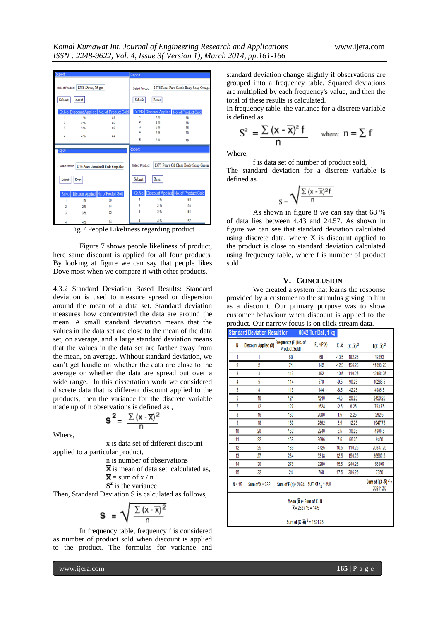| <b>Report</b>  |                                 |                                                        | Report                |       |                                             |
|----------------|---------------------------------|--------------------------------------------------------|-----------------------|-------|---------------------------------------------|
|                | Select Product 1386 Dove, 75 gm |                                                        | Select Product        |       | 1378 Pears Pure Gentle Body Soap Orange     |
| Submit         | Reset                           |                                                        | Submit                | Reset |                                             |
|                |                                 | Sr.No. Discount Applied No. of Product Sold            |                       |       | Sr.No. Discount Applied No. of Product Sold |
| 1              | 1%                              | 83                                                     |                       | 1%    | 78                                          |
| $\overline{2}$ | 2%                              | 82                                                     | $\overline{2}$        | 2%    | 78                                          |
| 3              | 3%                              | 82                                                     | ä                     | 3%    | 76                                          |
|                |                                 |                                                        |                       | 4%    | 78                                          |
| 4              | 4%                              | 84                                                     | 5                     | 5%    | 79                                          |
| Kepon          |                                 |                                                        | <b>Report</b>         |       |                                             |
|                |                                 | Select Product   1376 Pears Germishield Body Soap Blue | <b>Select Product</b> |       | 1377 Pears Oil Clear Body Soap Green,       |
| Submit         | Reset                           |                                                        | Submit                | Reset |                                             |
|                |                                 | Sr.No. Discount Applied No. of Product Sold            |                       |       | Sr.No. Discount Applied No. of Product Sold |
|                | 1%                              | 68                                                     | 1                     | 1%    | 52                                          |
|                | 2%                              | 64                                                     | 2                     | 2%    | 53                                          |
|                | 3%                              | 65                                                     | ä                     | 3%    | 55                                          |
|                | 4%                              | 64                                                     |                       | 4%    | 57                                          |

Fig 7 People Likeliness regarding product

Figure 7 shows people likeliness of product, here same discount is applied for all four products. By looking at figure we can say that people likes Dove most when we compare it with other products.

4.3.2 Standard Deviation Based Results: Standard deviation is used to measure spread or dispersion around the mean of a data set. Standard deviation measures how concentrated the data are around the mean. A small standard deviation means that the values in the data set are close to the mean of the data set, on average, and a large standard deviation means that the values in the data set are farther away from the mean, on average. Without standard deviation, we can"t get handle on whether the data are close to the average or whether the data are spread out over a wide range. In this dissertation work we considered discrete data that is different discount applied to the products, then the variance for the discrete variable made up of n observations is defined as ,

$$
s^2 = \frac{\sum (x - \overline{x})^2}{n}
$$

Where,

x is data set of different discount applied to a particular product,

n is number of observations

 $\overline{\mathbf{x}}$  is mean of data set calculated as,

 $\overline{\mathbf{x}}$  = sum of x / n

**S 2** is the variance

Then, Standard Deviation S is calculated as follows,

$$
s = \sqrt{\frac{\sum (x - \overline{x})^2}{n}}
$$

In frequency table, frequency f is considered as number of product sold when discount is applied to the product. The formulas for variance and standard deviation change slightly if observations are grouped into a frequency table. Squared deviations are multiplied by each frequency's value, and then the total of these results is calculated.

In frequency table, the variance for a discrete variable is defined as

$$
S^{2} = \frac{\sum (x - \overline{x})^{2} f}{n} \quad \text{where: } n = \sum f
$$

Where,

f is data set of number of product sold,

The standard deviation for a discrete variable is defined as

$$
s = \sqrt{\frac{\sum{(x-\overline{x})^2 f}}{n}}
$$

As shown in figure 8 we can say that 68 % of data lies between 4.43 and 24.57. As shown in figure we can see that standard deviation calculated using discrete data, where X is discount applied to the product is close to standard deviation calculated using frequency table, where f is number of product sold.

#### **V. CONCLUSION**

We created a system that learns the response provided by a customer to the stimulus giving to him as a discount. Our primary purpose was to show customer behaviour when discount is applied to the product. Our narrow focus is on click stream data.

| <b>Standard Deviation Result for</b>                                |                  |                                                                    | 0042 Tur Dal, 1 kg |         |                        |                                              |  |  |
|---------------------------------------------------------------------|------------------|--------------------------------------------------------------------|--------------------|---------|------------------------|----------------------------------------------|--|--|
| N                                                                   |                  | Discount Applied (X) Frequency (F) [No. of<br><b>Product Sold]</b> | $F_y = (F^*X)$     | Χ. Χ    | $(X - \overline{X})^2$ | $F(X - \overline{X})^2$                      |  |  |
| 1                                                                   |                  | 68                                                                 | 68                 | $-13.5$ | 182.25                 | 12393                                        |  |  |
| $\overline{2}$                                                      | 2                | 71                                                                 | 142                | $-12.5$ | 156.25                 | 11093.75                                     |  |  |
| 3                                                                   | 4                | 113                                                                | 452                | $-10.5$ | 110.25                 | 12458.25                                     |  |  |
| 4                                                                   | 5                | 114                                                                | 570                | $-9.5$  | 90.25                  | 10288.5                                      |  |  |
| 5                                                                   | 8                | 118                                                                | 944                | $-6.5$  | 42.25                  | 4985.5                                       |  |  |
| 6                                                                   | 10               | 121                                                                | 1210               | $-4.5$  | 20.25                  | 2450.25                                      |  |  |
| 7                                                                   | 12               | 127                                                                | 1524               | $-2.5$  | 6.25                   | 793.75                                       |  |  |
| 8                                                                   | 16               | 130                                                                | 2080               | 1.5     | 2.25                   | 292.5                                        |  |  |
| ğ                                                                   | 18               | 159                                                                | 2862               | 3.5     | 12.25                  | 1947.75                                      |  |  |
| 10                                                                  | 20               | 162                                                                | 3240               | 5.5     | 30.25                  | 4900.5                                       |  |  |
| 11                                                                  | 22               | 168                                                                | 3696               | 7.5     | 56.25                  | 9450                                         |  |  |
| 12                                                                  | 25               | 189                                                                | 4725               | 10.5    | 110.25                 | 20837.25                                     |  |  |
| 13                                                                  | 27               | 234                                                                | 6318               | 12.5    | 156.25                 | 36562.5                                      |  |  |
| 14                                                                  | 30               | 276                                                                | 8280               | 15.5    | 240.25                 | 66309                                        |  |  |
| 15                                                                  | 32               | 24                                                                 | 768                | 17.5    | 306.25                 | 7350                                         |  |  |
| $N = 15$                                                            | Sum of $X = 232$ | Sum of F (n)= 2074                                                 | sum of $Fx = 368$  |         |                        | Sum of $F(X - \overline{X})^2 =$<br>202112.5 |  |  |
| Mean $(\overline{x})$ = Sum of X / N<br>$\bar{x}$ = 232 / 15 = 14.5 |                  |                                                                    |                    |         |                        |                                              |  |  |
|                                                                     |                  | Sum of $(X - \overline{X})^2 = 1521.75$                            |                    |         |                        |                                              |  |  |